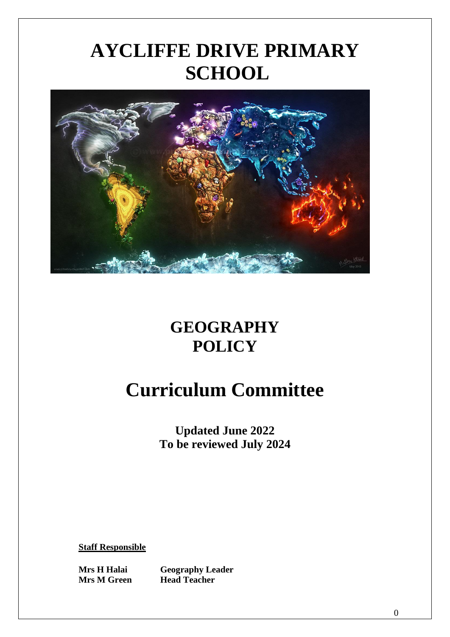# **AYCLIFFE DRIVE PRIMARY SCHOOL**



### **GEOGRAPHY POLICY**

## **Curriculum Committee**

**Updated June 2022 To be reviewed July 2024**

**Staff Responsible**

**Mrs H Halai Geography Leader Mrs M Green Head Teacher**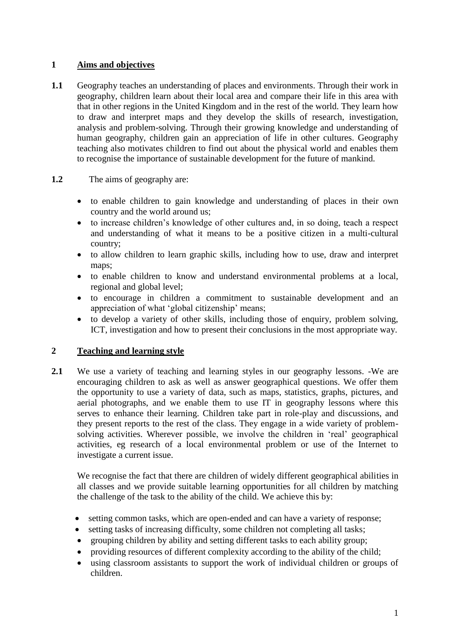#### **1 Aims and objectives**

**1.1** Geography teaches an understanding of places and environments. Through their work in geography, children learn about their local area and compare their life in this area with that in other regions in the United Kingdom and in the rest of the world. They learn how to draw and interpret maps and they develop the skills of research, investigation, analysis and problem-solving. Through their growing knowledge and understanding of human geography, children gain an appreciation of life in other cultures. Geography teaching also motivates children to find out about the physical world and enables them to recognise the importance of sustainable development for the future of mankind.

#### **1.2** The aims of geography are:

- to enable children to gain knowledge and understanding of places in their own country and the world around us;
- to increase children's knowledge of other cultures and, in so doing, teach a respect and understanding of what it means to be a positive citizen in a multi-cultural country;
- to allow children to learn graphic skills, including how to use, draw and interpret maps:
- to enable children to know and understand environmental problems at a local, regional and global level;
- to encourage in children a commitment to sustainable development and an appreciation of what 'global citizenship' means;
- to develop a variety of other skills, including those of enquiry, problem solving, ICT, investigation and how to present their conclusions in the most appropriate way.

#### **2 Teaching and learning style**

2.1 We use a variety of teaching and learning styles in our geography lessons. -We are encouraging children to ask as well as answer geographical questions. We offer them the opportunity to use a variety of data, such as maps, statistics, graphs, pictures, and aerial photographs, and we enable them to use  $IT$  in geography lessons where this serves to enhance their learning. Children take part in role-play and discussions, and they present reports to the rest of the class. They engage in a wide variety of problemsolving activities. Wherever possible, we involve the children in 'real' geographical activities, eg research of a local environmental problem or use of the Internet to investigate a current issue.

We recognise the fact that there are children of widely different geographical abilities in all classes and we provide suitable learning opportunities for all children by matching the challenge of the task to the ability of the child. We achieve this by:

- setting common tasks, which are open-ended and can have a variety of response;
- setting tasks of increasing difficulty, some children not completing all tasks;
- grouping children by ability and setting different tasks to each ability group;
- providing resources of different complexity according to the ability of the child;
- using classroom assistants to support the work of individual children or groups of children.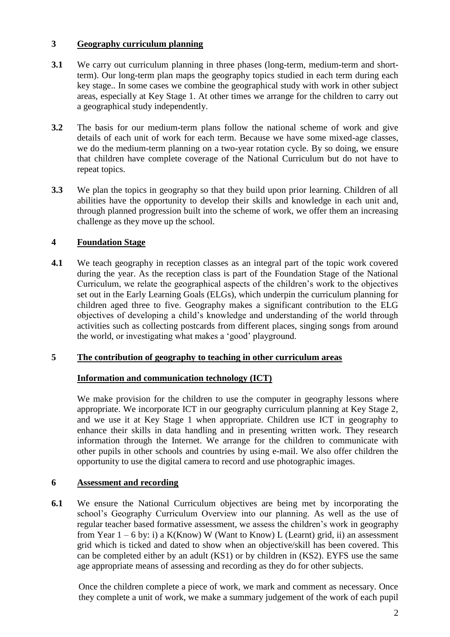#### **3 Geography curriculum planning**

- **3.1** We carry out curriculum planning in three phases (long-term, medium-term and shortterm). Our long-term plan maps the geography topics studied in each term during each key stage.. In some cases we combine the geographical study with work in other subject areas, especially at Key Stage 1. At other times we arrange for the children to carry out a geographical study independently.
- **3.2** The basis for our medium-term plans follow the national scheme of work and give details of each unit of work for each term. Because we have some mixed-age classes, we do the medium-term planning on a two-year rotation cycle. By so doing, we ensure that children have complete coverage of the National Curriculum but do not have to repeat topics.
- **3.3** We plan the topics in geography so that they build upon prior learning. Children of all abilities have the opportunity to develop their skills and knowledge in each unit and, through planned progression built into the scheme of work, we offer them an increasing challenge as they move up the school.

#### **4 Foundation Stage**

**4.1** We teach geography in reception classes as an integral part of the topic work covered during the year. As the reception class is part of the Foundation Stage of the National Curriculum, we relate the geographical aspects of the children's work to the objectives set out in the Early Learning Goals (ELGs), which underpin the curriculum planning for children aged three to five. Geography makes a significant contribution to the ELG objectives of developing a child's knowledge and understanding of the world through activities such as collecting postcards from different places, singing songs from around the world, or investigating what makes a 'good' playground.

#### **5 The contribution of geography to teaching in other curriculum areas**

#### **Information and communication technology (ICT)**

We make provision for the children to use the computer in geography lessons where appropriate. We incorporate ICT in our geography curriculum planning at Key Stage 2, and we use it at Key Stage 1 when appropriate. Children use ICT in geography to enhance their skills in data handling and in presenting written work. They research information through the Internet. We arrange for the children to communicate with other pupils in other schools and countries by using e-mail. We also offer children the opportunity to use the digital camera to record and use photographic images.

#### **6 Assessment and recording**

**6.1** We ensure the National Curriculum objectives are being met by incorporating the school's Geography Curriculum Overview into our planning. As well as the use of regular teacher based formative assessment, we assess the children's work in geography from Year  $1 - 6$  by: i) a K(Know) W (Want to Know) L (Learnt) grid, ii) an assessment grid which is ticked and dated to show when an objective/skill has been covered. This can be completed either by an adult (KS1) or by children in (KS2). EYFS use the same age appropriate means of assessing and recording as they do for other subjects.

Once the children complete a piece of work, we mark and comment as necessary. Once they complete a unit of work, we make a summary judgement of the work of each pupil